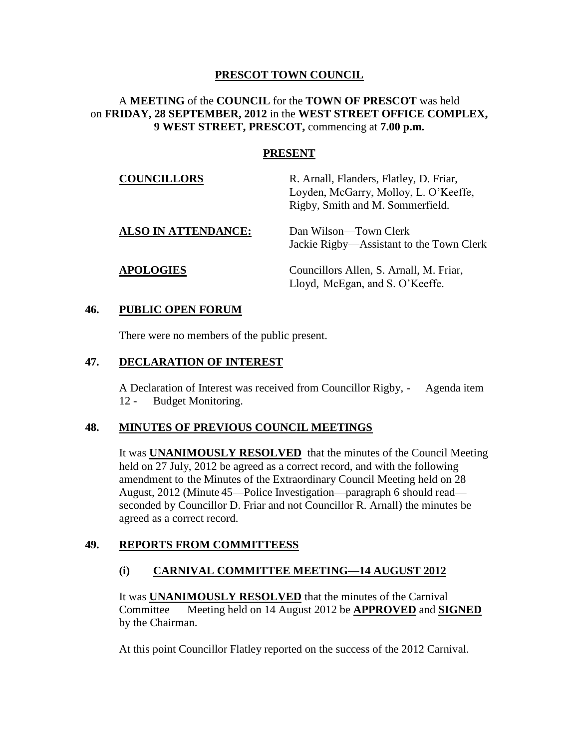### **PRESCOT TOWN COUNCIL**

### A **MEETING** of the **COUNCIL** for the **TOWN OF PRESCOT** was held on **FRIDAY, 28 SEPTEMBER, 2012** in the **WEST STREET OFFICE COMPLEX, 9 WEST STREET, PRESCOT,** commencing at **7.00 p.m.**

### **PRESENT**

| <b>COUNCILLORS</b>         | R. Arnall, Flanders, Flatley, D. Friar,<br>Loyden, McGarry, Molloy, L. O'Keeffe,<br>Rigby, Smith and M. Sommerfield. |
|----------------------------|----------------------------------------------------------------------------------------------------------------------|
| <b>ALSO IN ATTENDANCE:</b> | Dan Wilson—Town Clerk<br>Jackie Rigby—Assistant to the Town Clerk                                                    |
| <b>APOLOGIES</b>           | Councillors Allen, S. Arnall, M. Friar,<br>Lloyd, McEgan, and S. O'Keeffe.                                           |

#### **46. PUBLIC OPEN FORUM**

There were no members of the public present.

#### **47. DECLARATION OF INTEREST**

A Declaration of Interest was received from Councillor Rigby, - Agenda item 12 - Budget Monitoring.

### **48. MINUTES OF PREVIOUS COUNCIL MEETINGS**

It was **UNANIMOUSLY RESOLVED** that the minutes of the Council Meeting held on 27 July, 2012 be agreed as a correct record, and with the following amendment to the Minutes of the Extraordinary Council Meeting held on 28 August, 2012 (Minute 45—Police Investigation—paragraph 6 should read seconded by Councillor D. Friar and not Councillor R. Arnall) the minutes be agreed as a correct record.

### **49. REPORTS FROM COMMITTEESS**

### **(i) CARNIVAL COMMITTEE MEETING—14 AUGUST 2012**

It was **UNANIMOUSLY RESOLVED** that the minutes of the Carnival Committee Meeting held on 14 August 2012 be **APPROVED** and **SIGNED** by the Chairman.

At this point Councillor Flatley reported on the success of the 2012 Carnival.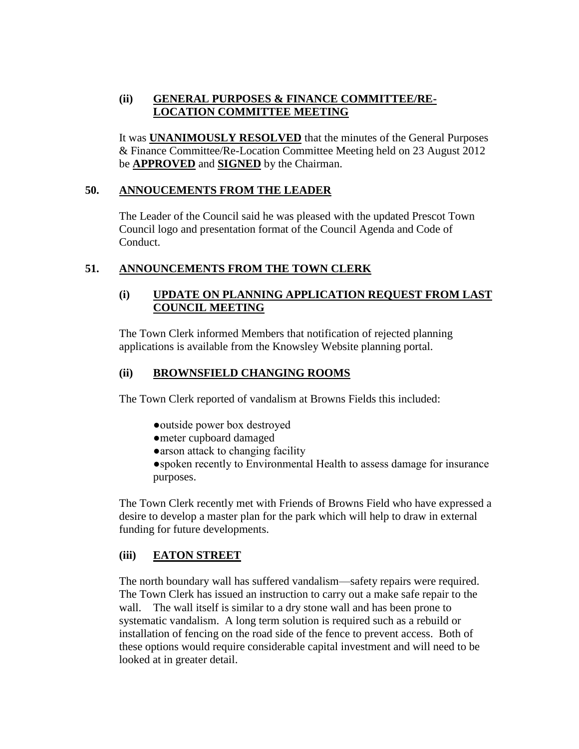# **(ii) GENERAL PURPOSES & FINANCE COMMITTEE/RE-LOCATION COMMITTEE MEETING**

It was **UNANIMOUSLY RESOLVED** that the minutes of the General Purposes & Finance Committee/Re-Location Committee Meeting held on 23 August 2012 be **APPROVED** and **SIGNED** by the Chairman.

# **50. ANNOUCEMENTS FROM THE LEADER**

The Leader of the Council said he was pleased with the updated Prescot Town Council logo and presentation format of the Council Agenda and Code of Conduct.

# **51. ANNOUNCEMENTS FROM THE TOWN CLERK**

### **(i) UPDATE ON PLANNING APPLICATION REQUEST FROM LAST COUNCIL MEETING**

The Town Clerk informed Members that notification of rejected planning applications is available from the Knowsley Website planning portal.

## **(ii) BROWNSFIELD CHANGING ROOMS**

The Town Clerk reported of vandalism at Browns Fields this included:

- ●outside power box destroyed
- ●meter cupboard damaged
- ●arson attack to changing facility

●spoken recently to Environmental Health to assess damage for insurance purposes.

The Town Clerk recently met with Friends of Browns Field who have expressed a desire to develop a master plan for the park which will help to draw in external funding for future developments.

### **(iii) EATON STREET**

The north boundary wall has suffered vandalism—safety repairs were required. The Town Clerk has issued an instruction to carry out a make safe repair to the wall. The wall itself is similar to a dry stone wall and has been prone to systematic vandalism. A long term solution is required such as a rebuild or installation of fencing on the road side of the fence to prevent access. Both of these options would require considerable capital investment and will need to be looked at in greater detail.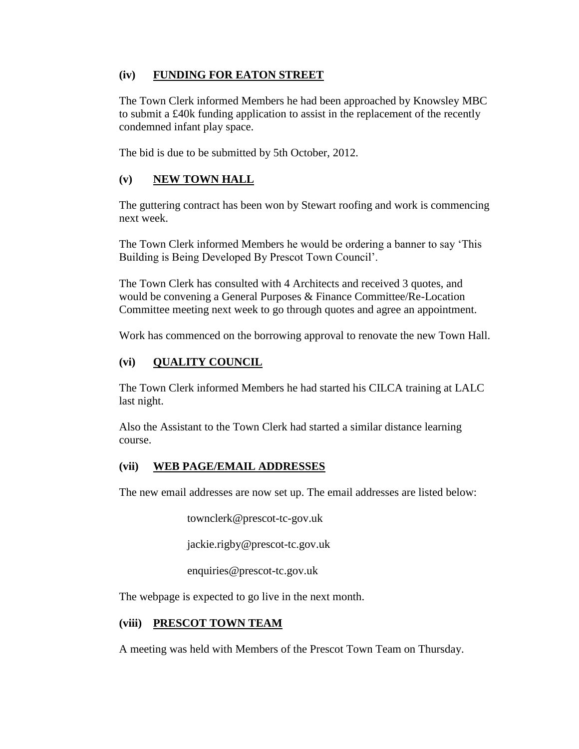### **(iv) FUNDING FOR EATON STREET**

The Town Clerk informed Members he had been approached by Knowsley MBC to submit a £40k funding application to assist in the replacement of the recently condemned infant play space.

The bid is due to be submitted by 5th October, 2012.

# **(v) NEW TOWN HALL**

The guttering contract has been won by Stewart roofing and work is commencing next week.

The Town Clerk informed Members he would be ordering a banner to say 'This Building is Being Developed By Prescot Town Council'.

The Town Clerk has consulted with 4 Architects and received 3 quotes, and would be convening a General Purposes & Finance Committee/Re-Location Committee meeting next week to go through quotes and agree an appointment.

Work has commenced on the borrowing approval to renovate the new Town Hall.

# **(vi) QUALITY COUNCIL**

The Town Clerk informed Members he had started his CILCA training at LALC last night.

Also the Assistant to the Town Clerk had started a similar distance learning course.

# **(vii) WEB PAGE/EMAIL ADDRESSES**

The new email addresses are now set up. The email addresses are listed below:

townclerk@prescot-tc-gov.uk

jackie.rigby@prescot-tc.gov.uk

enquiries@prescot-tc.gov.uk

The webpage is expected to go live in the next month.

### **(viii) PRESCOT TOWN TEAM**

A meeting was held with Members of the Prescot Town Team on Thursday.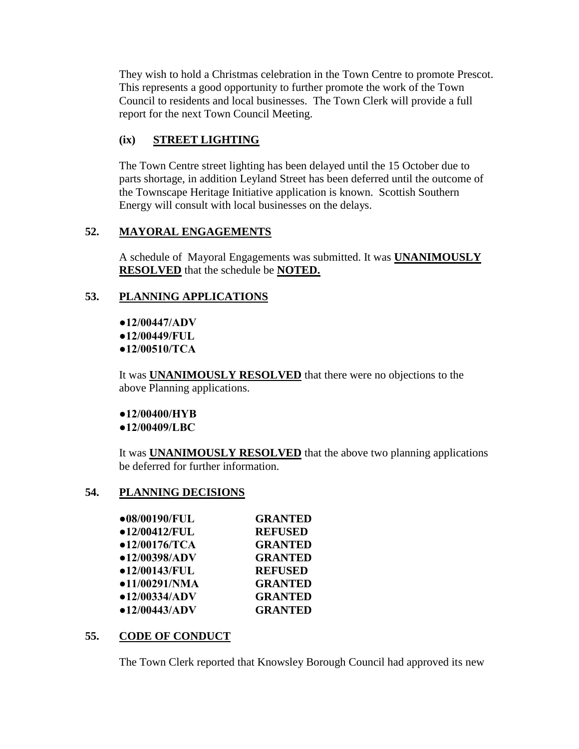They wish to hold a Christmas celebration in the Town Centre to promote Prescot. This represents a good opportunity to further promote the work of the Town Council to residents and local businesses. The Town Clerk will provide a full report for the next Town Council Meeting.

# **(ix) STREET LIGHTING**

The Town Centre street lighting has been delayed until the 15 October due to parts shortage, in addition Leyland Street has been deferred until the outcome of the Townscape Heritage Initiative application is known. Scottish Southern Energy will consult with local businesses on the delays.

# **52. MAYORAL ENGAGEMENTS**

A schedule of Mayoral Engagements was submitted. It was **UNANIMOUSLY RESOLVED** that the schedule be **NOTED.**

# **53. PLANNING APPLICATIONS**

**●12/00447/ADV ●12/00449/FUL ●12/00510/TCA**

It was **UNANIMOUSLY RESOLVED** that there were no objections to the above Planning applications.

**●12/00400/HYB ●12/00409/LBC**

It was **UNANIMOUSLY RESOLVED** that the above two planning applications be deferred for further information.

# **54. PLANNING DECISIONS**

| ●08/00190/FUL | <b>GRANTED</b> |
|---------------|----------------|
| •12/00412/FUL | <b>REFUSED</b> |
| •12/00176/TCA | <b>GRANTED</b> |
| •12/00398/ADV | <b>GRANTED</b> |
| •12/00143/FUL | <b>REFUSED</b> |
| •11/00291/NMA | <b>GRANTED</b> |
| •12/00334/ADV | <b>GRANTED</b> |
| •12/00443/ADV | <b>GRANTED</b> |

# **55. CODE OF CONDUCT**

The Town Clerk reported that Knowsley Borough Council had approved its new